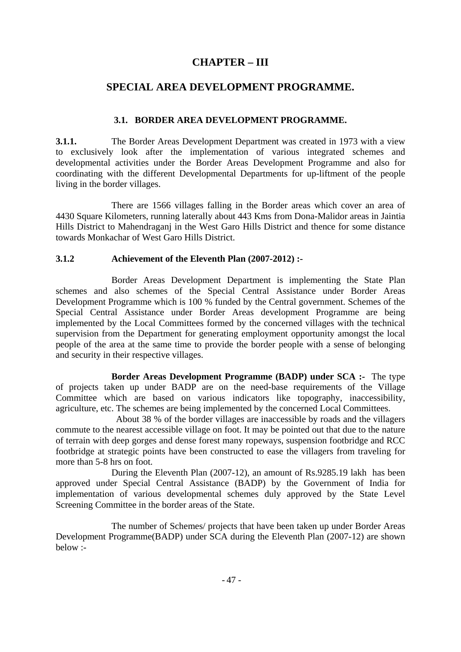## **CHAPTER – III**

## **SPECIAL AREA DEVELOPMENT PROGRAMME.**

### **3.1. BORDER AREA DEVELOPMENT PROGRAMME.**

**3.1.1.** The Border Areas Development Department was created in 1973 with a view to exclusively look after the implementation of various integrated schemes and developmental activities under the Border Areas Development Programme and also for coordinating with the different Developmental Departments for up-liftment of the people living in the border villages.

 There are 1566 villages falling in the Border areas which cover an area of 4430 Square Kilometers, running laterally about 443 Kms from Dona-Malidor areas in Jaintia Hills District to Mahendraganj in the West Garo Hills District and thence for some distance towards Monkachar of West Garo Hills District.

#### **3.1.2 Achievement of the Eleventh Plan (2007-2012) :-**

Border Areas Development Department is implementing the State Plan schemes and also schemes of the Special Central Assistance under Border Areas Development Programme which is 100 % funded by the Central government. Schemes of the Special Central Assistance under Border Areas development Programme are being implemented by the Local Committees formed by the concerned villages with the technical supervision from the Department for generating employment opportunity amongst the local people of the area at the same time to provide the border people with a sense of belonging and security in their respective villages.

**Border Areas Development Programme (BADP) under SCA :-** The type of projects taken up under BADP are on the need-base requirements of the Village Committee which are based on various indicators like topography, inaccessibility, agriculture, etc. The schemes are being implemented by the concerned Local Committees.

 About 38 % of the border villages are inaccessible by roads and the villagers commute to the nearest accessible village on foot. It may be pointed out that due to the nature of terrain with deep gorges and dense forest many ropeways, suspension footbridge and RCC footbridge at strategic points have been constructed to ease the villagers from traveling for more than 5-8 hrs on foot.

 During the Eleventh Plan (2007-12), an amount of Rs.9285.19 lakh has been approved under Special Central Assistance (BADP) by the Government of India for implementation of various developmental schemes duly approved by the State Level Screening Committee in the border areas of the State.

 The number of Schemes/ projects that have been taken up under Border Areas Development Programme(BADP) under SCA during the Eleventh Plan (2007-12) are shown below :-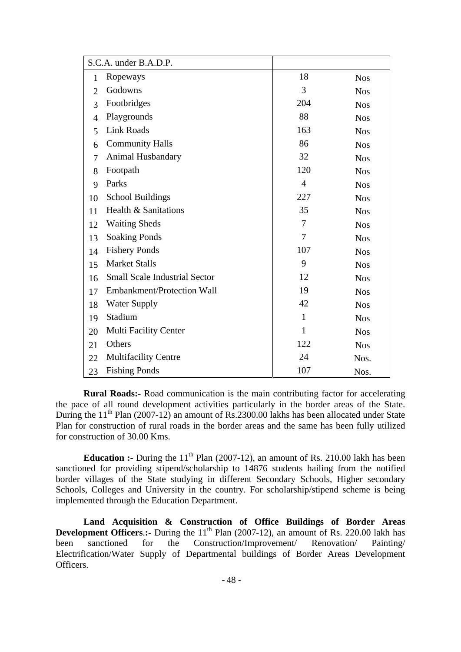|                | S.C.A. under B.A.D.P.                |                |            |
|----------------|--------------------------------------|----------------|------------|
| 1              | Ropeways                             | 18             | <b>Nos</b> |
| $\overline{2}$ | Godowns                              | 3              | <b>Nos</b> |
| 3              | Footbridges                          | 204            | <b>Nos</b> |
| $\overline{4}$ | Playgrounds                          | 88             | <b>Nos</b> |
| 5              | <b>Link Roads</b>                    | 163            | <b>Nos</b> |
| 6              | <b>Community Halls</b>               | 86             | <b>Nos</b> |
| $\overline{7}$ | Animal Husbandary                    | 32             | <b>Nos</b> |
| 8              | Footpath                             | 120            | <b>Nos</b> |
| 9              | Parks                                | $\overline{4}$ | <b>Nos</b> |
| 10             | <b>School Buildings</b>              | 227            | <b>Nos</b> |
| 11             | Health & Sanitations                 | 35             | <b>Nos</b> |
| 12             | <b>Waiting Sheds</b>                 | $\overline{7}$ | <b>Nos</b> |
| 13             | <b>Soaking Ponds</b>                 | 7              | <b>Nos</b> |
| 14             | <b>Fishery Ponds</b>                 | 107            | <b>Nos</b> |
| 15             | <b>Market Stalls</b>                 | 9              | <b>Nos</b> |
| 16             | <b>Small Scale Industrial Sector</b> | 12             | <b>Nos</b> |
| 17             | Embankment/Protection Wall           | 19             | <b>Nos</b> |
| 18             | <b>Water Supply</b>                  | 42             | <b>Nos</b> |
| 19             | Stadium                              | $\mathbf{1}$   | <b>Nos</b> |
| 20             | <b>Multi Facility Center</b>         | $\mathbf{1}$   | <b>Nos</b> |
| 21             | Others                               | 122            | <b>Nos</b> |
| 22             | <b>Multifacility Centre</b>          | 24             | Nos.       |
| 23             | <b>Fishing Ponds</b>                 | 107            | Nos.       |

 **Rural Roads:-** Road communication is the main contributing factor for accelerating the pace of all round development activities particularly in the border areas of the State. During the  $11<sup>th</sup>$  Plan (2007-12) an amount of Rs.2300.00 lakhs has been allocated under State Plan for construction of rural roads in the border areas and the same has been fully utilized for construction of 30.00 Kms.

**Education :-** During the  $11<sup>th</sup>$  Plan (2007-12), an amount of Rs. 210.00 lakh has been sanctioned for providing stipend/scholarship to 14876 students hailing from the notified border villages of the State studying in different Secondary Schools, Higher secondary Schools, Colleges and University in the country. For scholarship/stipend scheme is being implemented through the Education Department.

**Land Acquisition & Construction of Office Buildings of Border Areas Development Officers.:-** During the 11<sup>th</sup> Plan (2007-12), an amount of Rs. 220.00 lakh has been sanctioned for the Construction/Improvement/ Renovation/ Painting/ Electrification/Water Supply of Departmental buildings of Border Areas Development Officers.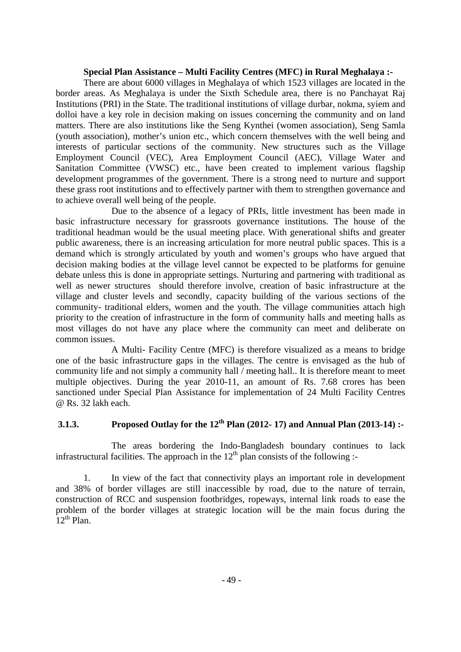#### **Special Plan Assistance – Multi Facility Centres (MFC) in Rural Meghalaya :-**

There are about 6000 villages in Meghalaya of which 1523 villages are located in the border areas. As Meghalaya is under the Sixth Schedule area, there is no Panchayat Raj Institutions (PRI) in the State. The traditional institutions of village durbar, nokma, syiem and dolloi have a key role in decision making on issues concerning the community and on land matters. There are also institutions like the Seng Kynthei (women association), Seng Samla (youth association), mother's union etc., which concern themselves with the well being and interests of particular sections of the community. New structures such as the Village Employment Council (VEC), Area Employment Council (AEC), Village Water and Sanitation Committee (VWSC) etc., have been created to implement various flagship development programmes of the government. There is a strong need to nurture and support these grass root institutions and to effectively partner with them to strengthen governance and to achieve overall well being of the people.

Due to the absence of a legacy of PRIs, little investment has been made in basic infrastructure necessary for grassroots governance institutions. The house of the traditional headman would be the usual meeting place. With generational shifts and greater public awareness, there is an increasing articulation for more neutral public spaces. This is a demand which is strongly articulated by youth and women's groups who have argued that decision making bodies at the village level cannot be expected to be platforms for genuine debate unless this is done in appropriate settings. Nurturing and partnering with traditional as well as newer structures should therefore involve, creation of basic infrastructure at the village and cluster levels and secondly, capacity building of the various sections of the community- traditional elders, women and the youth. The village communities attach high priority to the creation of infrastructure in the form of community halls and meeting halls as most villages do not have any place where the community can meet and deliberate on common issues.

A Multi- Facility Centre (MFC) is therefore visualized as a means to bridge one of the basic infrastructure gaps in the villages. The centre is envisaged as the hub of community life and not simply a community hall / meeting hall.. It is therefore meant to meet multiple objectives. During the year 2010-11, an amount of Rs. 7.68 crores has been sanctioned under Special Plan Assistance for implementation of 24 Multi Facility Centres @ Rs. 32 lakh each.

# **3.1.3.** Proposed Outlay for the 12<sup>th</sup> Plan (2012- 17) and Annual Plan (2013-14) :-

 The areas bordering the Indo-Bangladesh boundary continues to lack infrastructural facilities. The approach in the  $12<sup>th</sup>$  plan consists of the following :-

1. In view of the fact that connectivity plays an important role in development and 38% of border villages are still inaccessible by road, due to the nature of terrain, construction of RCC and suspension footbridges, ropeways, internal link roads to ease the problem of the border villages at strategic location will be the main focus during the  $12^{th}$  Plan.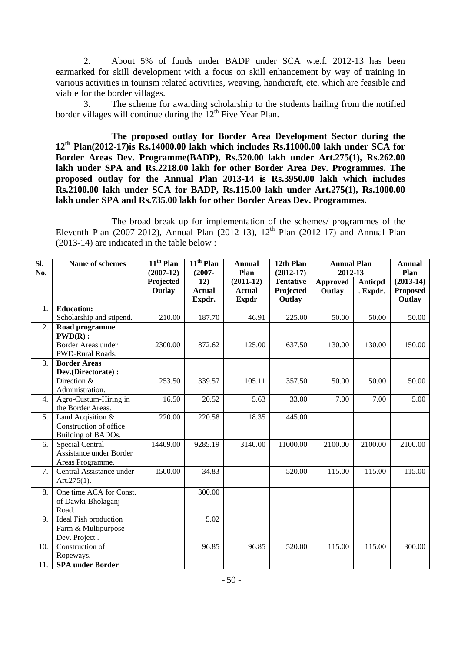2. About 5% of funds under BADP under SCA w.e.f. 2012-13 has been earmarked for skill development with a focus on skill enhancement by way of training in various activities in tourism related activities, weaving, handicraft, etc. which are feasible and viable for the border villages.

3. The scheme for awarding scholarship to the students hailing from the notified border villages will continue during the  $12<sup>th</sup>$  Five Year Plan.

**The proposed outlay for Border Area Development Sector during the 12th Plan(2012-17)is Rs.14000.00 lakh which includes Rs.11000.00 lakh under SCA for Border Areas Dev. Programme(BADP), Rs.520.00 lakh under Art.275(1), Rs.262.00 lakh under SPA and Rs.2218.00 lakh for other Border Area Dev. Programmes. The proposed outlay for the Annual Plan 2013-14 is Rs.3950.00 lakh which includes Rs.2100.00 lakh under SCA for BADP, Rs.115.00 lakh under Art.275(1), Rs.1000.00 lakh under SPA and Rs.735.00 lakh for other Border Areas Dev. Programmes.** 

 The broad break up for implementation of the schemes/ programmes of the Eleventh Plan (2007-2012), Annual Plan (2012-13),  $12<sup>th</sup>$  Plan (2012-17) and Annual Plan (2013-14) are indicated in the table below :

| Sl.<br>No. | Name of schemes                             | $11th$ Plan<br>$(2007-12)$ | $11th$ Plan<br>$(2007 -$ | <b>Annual</b><br>Plan         | 12th Plan<br>$(2012-17)$ | <b>Annual Plan</b><br>2012-13 |                | <b>Annual</b><br>Plan     |
|------------|---------------------------------------------|----------------------------|--------------------------|-------------------------------|--------------------------|-------------------------------|----------------|---------------------------|
|            |                                             | Projected                  | 12)                      | $(2011-12)$                   | <b>Tentative</b>         | <b>Approved</b>               | <b>Anticpd</b> | $(2013-14)$               |
|            |                                             | Outlay                     | <b>Actual</b><br>Expdr.  | <b>Actual</b><br><b>Expdr</b> | Projected<br>Outlay      | Outlay                        | . Expdr.       | <b>Proposed</b><br>Outlay |
| 1.         | <b>Education:</b>                           |                            |                          |                               |                          |                               |                |                           |
|            | Scholarship and stipend.                    | 210.00                     | 187.70                   | 46.91                         | 225.00                   | 50.00                         | 50.00          | 50.00                     |
| 2.         | Road programme<br>$PWD(R)$ :                |                            |                          |                               |                          |                               |                |                           |
|            | Border Areas under<br>PWD-Rural Roads.      | 2300.00                    | 872.62                   | 125.00                        | 637.50                   | 130.00                        | 130.00         | 150.00                    |
| 3.         | <b>Border Areas</b>                         |                            |                          |                               |                          |                               |                |                           |
|            | Dev.(Directorate) :                         |                            |                          |                               |                          |                               |                |                           |
|            | Direction &<br>Administration.              | 253.50                     | 339.57                   | 105.11                        | 357.50                   | 50.00                         | 50.00          | 50.00                     |
| 4.         | Agro-Custum-Hiring in                       | 16.50                      | 20.52                    | 5.63                          | 33.00                    | 7.00                          | 7.00           | 5.00                      |
|            | the Border Areas.                           |                            |                          |                               |                          |                               |                |                           |
| 5.         | Land Acqisition &                           | 220.00                     | 220.58                   | 18.35                         | 445.00                   |                               |                |                           |
|            | Construction of office                      |                            |                          |                               |                          |                               |                |                           |
|            | Building of BADOs.                          |                            |                          |                               |                          |                               |                |                           |
| 6.         | Special Central                             | 14409.00                   | 9285.19                  | 3140.00                       | 11000.00                 | 2100.00                       | 2100.00        | 2100.00                   |
|            | Assistance under Border                     |                            |                          |                               |                          |                               |                |                           |
|            | Areas Programme.                            |                            |                          |                               |                          |                               |                |                           |
| 7.         | Central Assistance under<br>Art. $275(1)$ . | 1500.00                    | 34.83                    |                               | 520.00                   | 115.00                        | 115.00         | 115.00                    |
| 8.         | One time ACA for Const.                     |                            | 300.00                   |                               |                          |                               |                |                           |
|            | of Dawki-Bholaganj                          |                            |                          |                               |                          |                               |                |                           |
|            | Road.                                       |                            |                          |                               |                          |                               |                |                           |
| 9.         | Ideal Fish production                       |                            | 5.02                     |                               |                          |                               |                |                           |
|            | Farm & Multipurpose                         |                            |                          |                               |                          |                               |                |                           |
|            | Dev. Project.                               |                            |                          |                               |                          |                               |                |                           |
| 10.        | Construction of                             |                            | 96.85                    | 96.85                         | 520.00                   | 115.00                        | 115.00         | 300.00                    |
|            | Ropeways.                                   |                            |                          |                               |                          |                               |                |                           |
| 11.        | <b>SPA</b> under Border                     |                            |                          |                               |                          |                               |                |                           |